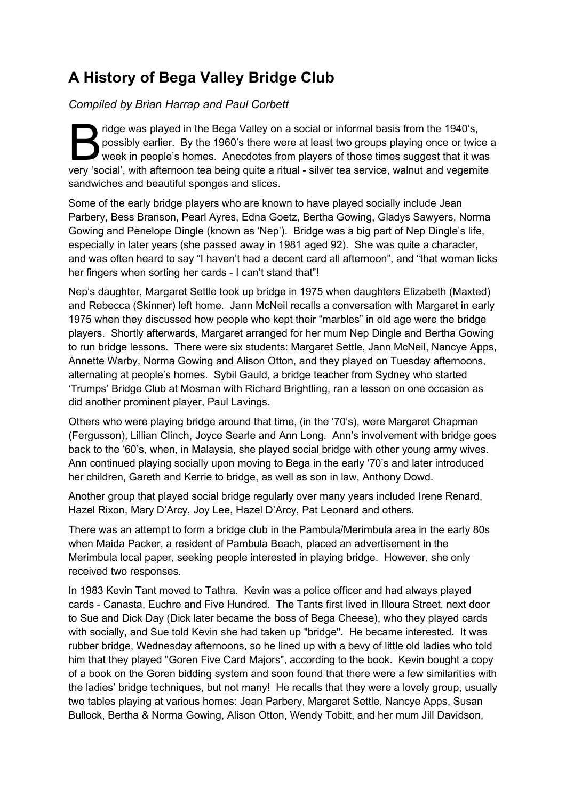#### A History of Bega Valley Bridge Club

Compiled by Brian Harrap and Paul Corbett

ridge was played in the Bega Valley on a social or informal basis from the 1940's, possibly earlier. By the 1960's there were at least two groups playing once or twice a week in people's homes. Anecdotes from players of those times suggest that it was ridge was played in the Bega Valley on a social or informal basis from the 1940's,<br>possibly earlier. By the 1960's there were at least two groups playing once or twice a<br>week in people's homes. Anecdotes from players of th sandwiches and beautiful sponges and slices.

Some of the early bridge players who are known to have played socially include Jean Parbery, Bess Branson, Pearl Ayres, Edna Goetz, Bertha Gowing, Gladys Sawyers, Norma Gowing and Penelope Dingle (known as 'Nep'). Bridge was a big part of Nep Dingle's life, especially in later years (she passed away in 1981 aged 92). She was quite a character, and was often heard to say "I haven't had a decent card all afternoon", and "that woman licks her fingers when sorting her cards - I can't stand that"!

Nep's daughter, Margaret Settle took up bridge in 1975 when daughters Elizabeth (Maxted) and Rebecca (Skinner) left home. Jann McNeil recalls a conversation with Margaret in early 1975 when they discussed how people who kept their "marbles" in old age were the bridge players. Shortly afterwards, Margaret arranged for her mum Nep Dingle and Bertha Gowing to run bridge lessons. There were six students: Margaret Settle, Jann McNeil, Nancye Apps, Annette Warby, Norma Gowing and Alison Otton, and they played on Tuesday afternoons, alternating at people's homes. Sybil Gauld, a bridge teacher from Sydney who started 'Trumps' Bridge Club at Mosman with Richard Brightling, ran a lesson on one occasion as did another prominent player, Paul Lavings.

Others who were playing bridge around that time, (in the '70's), were Margaret Chapman (Fergusson), Lillian Clinch, Joyce Searle and Ann Long. Ann's involvement with bridge goes back to the '60's, when, in Malaysia, she played social bridge with other young army wives. Ann continued playing socially upon moving to Bega in the early '70's and later introduced her children, Gareth and Kerrie to bridge, as well as son in law, Anthony Dowd.

Another group that played social bridge regularly over many years included Irene Renard, Hazel Rixon, Mary D'Arcy, Joy Lee, Hazel D'Arcy, Pat Leonard and others.

There was an attempt to form a bridge club in the Pambula/Merimbula area in the early 80s when Maida Packer, a resident of Pambula Beach, placed an advertisement in the Merimbula local paper, seeking people interested in playing bridge. However, she only received two responses.

In 1983 Kevin Tant moved to Tathra. Kevin was a police officer and had always played cards - Canasta, Euchre and Five Hundred. The Tants first lived in Illoura Street, next door to Sue and Dick Day (Dick later became the boss of Bega Cheese), who they played cards with socially, and Sue told Kevin she had taken up "bridge". He became interested. It was rubber bridge, Wednesday afternoons, so he lined up with a bevy of little old ladies who told him that they played "Goren Five Card Majors", according to the book. Kevin bought a copy of a book on the Goren bidding system and soon found that there were a few similarities with the ladies' bridge techniques, but not many! He recalls that they were a lovely group, usually two tables playing at various homes: Jean Parbery, Margaret Settle, Nancye Apps, Susan Bullock, Bertha & Norma Gowing, Alison Otton, Wendy Tobitt, and her mum Jill Davidson,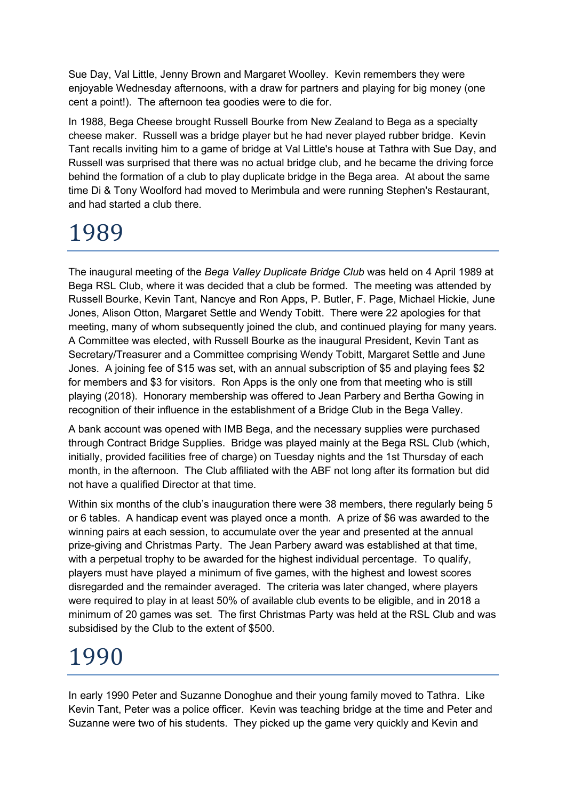Sue Day, Val Little, Jenny Brown and Margaret Woolley. Kevin remembers they were enjoyable Wednesday afternoons, with a draw for partners and playing for big money (one cent a point!). The afternoon tea goodies were to die for.

In 1988, Bega Cheese brought Russell Bourke from New Zealand to Bega as a specialty cheese maker. Russell was a bridge player but he had never played rubber bridge. Kevin Tant recalls inviting him to a game of bridge at Val Little's house at Tathra with Sue Day, and Russell was surprised that there was no actual bridge club, and he became the driving force behind the formation of a club to play duplicate bridge in the Bega area. At about the same time Di & Tony Woolford had moved to Merimbula and were running Stephen's Restaurant, and had started a club there.

### 1989

The inaugural meeting of the Bega Valley Duplicate Bridge Club was held on 4 April 1989 at Bega RSL Club, where it was decided that a club be formed. The meeting was attended by Russell Bourke, Kevin Tant, Nancye and Ron Apps, P. Butler, F. Page, Michael Hickie, June Jones, Alison Otton, Margaret Settle and Wendy Tobitt. There were 22 apologies for that meeting, many of whom subsequently joined the club, and continued playing for many years. A Committee was elected, with Russell Bourke as the inaugural President, Kevin Tant as Secretary/Treasurer and a Committee comprising Wendy Tobitt, Margaret Settle and June Jones. A joining fee of \$15 was set, with an annual subscription of \$5 and playing fees \$2 for members and \$3 for visitors. Ron Apps is the only one from that meeting who is still playing (2018). Honorary membership was offered to Jean Parbery and Bertha Gowing in recognition of their influence in the establishment of a Bridge Club in the Bega Valley.

A bank account was opened with IMB Bega, and the necessary supplies were purchased through Contract Bridge Supplies. Bridge was played mainly at the Bega RSL Club (which, initially, provided facilities free of charge) on Tuesday nights and the 1st Thursday of each month, in the afternoon. The Club affiliated with the ABF not long after its formation but did not have a qualified Director at that time.

Within six months of the club's inauguration there were 38 members, there regularly being 5 or 6 tables. A handicap event was played once a month. A prize of \$6 was awarded to the winning pairs at each session, to accumulate over the year and presented at the annual prize-giving and Christmas Party. The Jean Parbery award was established at that time, with a perpetual trophy to be awarded for the highest individual percentage. To qualify, players must have played a minimum of five games, with the highest and lowest scores disregarded and the remainder averaged. The criteria was later changed, where players were required to play in at least 50% of available club events to be eligible, and in 2018 a minimum of 20 games was set. The first Christmas Party was held at the RSL Club and was subsidised by the Club to the extent of \$500.

#### 1990

In early 1990 Peter and Suzanne Donoghue and their young family moved to Tathra. Like Kevin Tant, Peter was a police officer. Kevin was teaching bridge at the time and Peter and Suzanne were two of his students. They picked up the game very quickly and Kevin and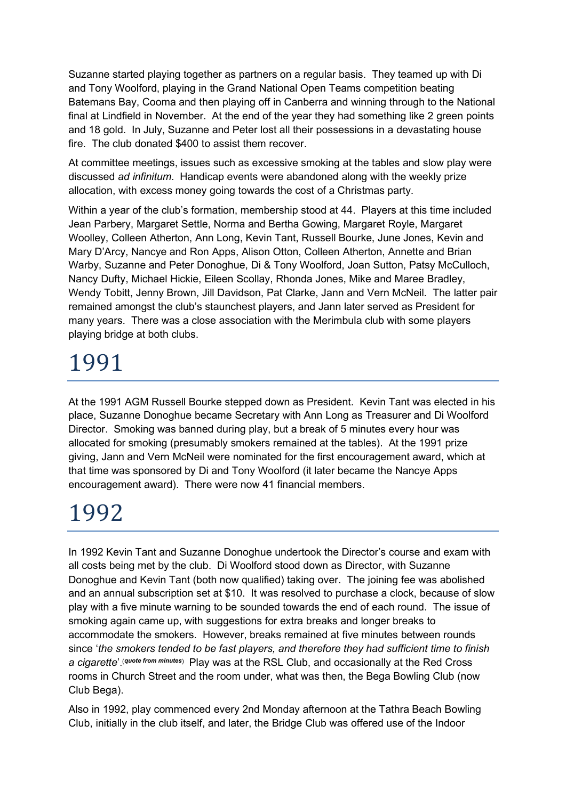Suzanne started playing together as partners on a regular basis. They teamed up with Di and Tony Woolford, playing in the Grand National Open Teams competition beating Batemans Bay, Cooma and then playing off in Canberra and winning through to the National final at Lindfield in November. At the end of the year they had something like 2 green points and 18 gold. In July, Suzanne and Peter lost all their possessions in a devastating house fire. The club donated \$400 to assist them recover.

At committee meetings, issues such as excessive smoking at the tables and slow play were discussed ad infinitum. Handicap events were abandoned along with the weekly prize allocation, with excess money going towards the cost of a Christmas party.

Within a year of the club's formation, membership stood at 44. Players at this time included Jean Parbery, Margaret Settle, Norma and Bertha Gowing, Margaret Royle, Margaret Woolley, Colleen Atherton, Ann Long, Kevin Tant, Russell Bourke, June Jones, Kevin and Mary D'Arcy, Nancye and Ron Apps, Alison Otton, Colleen Atherton, Annette and Brian Warby, Suzanne and Peter Donoghue, Di & Tony Woolford, Joan Sutton, Patsy McCulloch, Nancy Dufty, Michael Hickie, Eileen Scollay, Rhonda Jones, Mike and Maree Bradley, Wendy Tobitt, Jenny Brown, Jill Davidson, Pat Clarke, Jann and Vern McNeil. The latter pair remained amongst the club's staunchest players, and Jann later served as President for many years. There was a close association with the Merimbula club with some players playing bridge at both clubs.

# 1991

At the 1991 AGM Russell Bourke stepped down as President. Kevin Tant was elected in his place, Suzanne Donoghue became Secretary with Ann Long as Treasurer and Di Woolford Director. Smoking was banned during play, but a break of 5 minutes every hour was allocated for smoking (presumably smokers remained at the tables). At the 1991 prize giving, Jann and Vern McNeil were nominated for the first encouragement award, which at that time was sponsored by Di and Tony Woolford (it later became the Nancye Apps encouragement award). There were now 41 financial members.

# 1992

In 1992 Kevin Tant and Suzanne Donoghue undertook the Director's course and exam with all costs being met by the club. Di Woolford stood down as Director, with Suzanne Donoghue and Kevin Tant (both now qualified) taking over. The joining fee was abolished and an annual subscription set at \$10. It was resolved to purchase a clock, because of slow play with a five minute warning to be sounded towards the end of each round. The issue of smoking again came up, with suggestions for extra breaks and longer breaks to accommodate the smokers. However, breaks remained at five minutes between rounds since 'the smokers tended to be fast players, and therefore they had sufficient time to finish a cigarette'. (quote from minutes) Play was at the RSL Club, and occasionally at the Red Cross rooms in Church Street and the room under, what was then, the Bega Bowling Club (now Club Bega).

Also in 1992, play commenced every 2nd Monday afternoon at the Tathra Beach Bowling Club, initially in the club itself, and later, the Bridge Club was offered use of the Indoor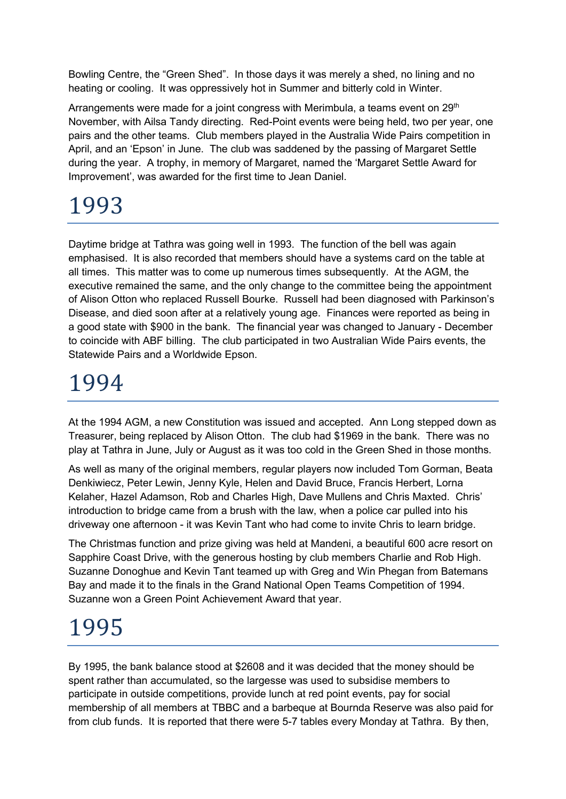Bowling Centre, the "Green Shed". In those days it was merely a shed, no lining and no heating or cooling. It was oppressively hot in Summer and bitterly cold in Winter.

Arrangements were made for a joint congress with Merimbula, a teams event on 29<sup>th</sup> November, with Ailsa Tandy directing. Red-Point events were being held, two per year, one pairs and the other teams. Club members played in the Australia Wide Pairs competition in April, and an 'Epson' in June. The club was saddened by the passing of Margaret Settle during the year. A trophy, in memory of Margaret, named the 'Margaret Settle Award for Improvement', was awarded for the first time to Jean Daniel.

#### 1993

Daytime bridge at Tathra was going well in 1993. The function of the bell was again emphasised. It is also recorded that members should have a systems card on the table at all times. This matter was to come up numerous times subsequently. At the AGM, the executive remained the same, and the only change to the committee being the appointment of Alison Otton who replaced Russell Bourke. Russell had been diagnosed with Parkinson's Disease, and died soon after at a relatively young age. Finances were reported as being in a good state with \$900 in the bank. The financial year was changed to January - December to coincide with ABF billing. The club participated in two Australian Wide Pairs events, the Statewide Pairs and a Worldwide Epson.

### 1994

At the 1994 AGM, a new Constitution was issued and accepted. Ann Long stepped down as Treasurer, being replaced by Alison Otton. The club had \$1969 in the bank. There was no play at Tathra in June, July or August as it was too cold in the Green Shed in those months.

As well as many of the original members, regular players now included Tom Gorman, Beata Denkiwiecz, Peter Lewin, Jenny Kyle, Helen and David Bruce, Francis Herbert, Lorna Kelaher, Hazel Adamson, Rob and Charles High, Dave Mullens and Chris Maxted. Chris' introduction to bridge came from a brush with the law, when a police car pulled into his driveway one afternoon - it was Kevin Tant who had come to invite Chris to learn bridge.

The Christmas function and prize giving was held at Mandeni, a beautiful 600 acre resort on Sapphire Coast Drive, with the generous hosting by club members Charlie and Rob High. Suzanne Donoghue and Kevin Tant teamed up with Greg and Win Phegan from Batemans Bay and made it to the finals in the Grand National Open Teams Competition of 1994. Suzanne won a Green Point Achievement Award that year.

### 1995

By 1995, the bank balance stood at \$2608 and it was decided that the money should be spent rather than accumulated, so the largesse was used to subsidise members to participate in outside competitions, provide lunch at red point events, pay for social membership of all members at TBBC and a barbeque at Bournda Reserve was also paid for from club funds. It is reported that there were 5-7 tables every Monday at Tathra. By then,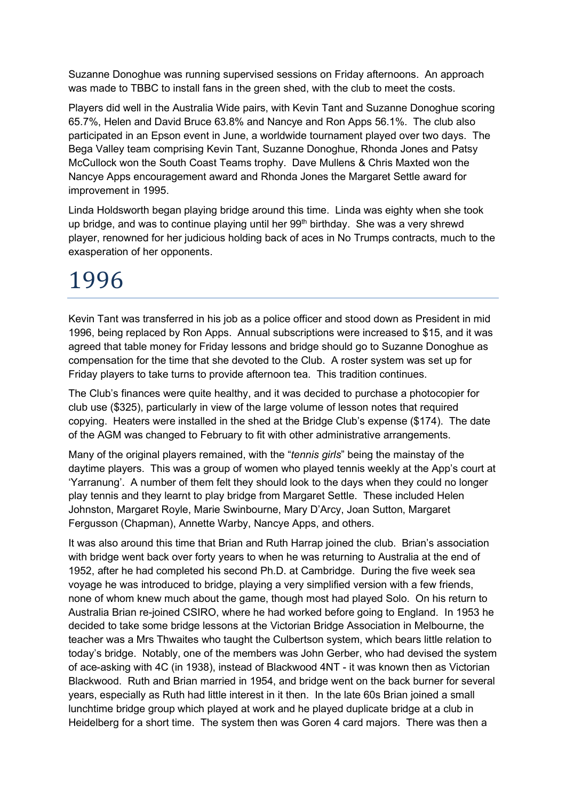Suzanne Donoghue was running supervised sessions on Friday afternoons. An approach was made to TBBC to install fans in the green shed, with the club to meet the costs.

Players did well in the Australia Wide pairs, with Kevin Tant and Suzanne Donoghue scoring 65.7%, Helen and David Bruce 63.8% and Nancye and Ron Apps 56.1%. The club also participated in an Epson event in June, a worldwide tournament played over two days. The Bega Valley team comprising Kevin Tant, Suzanne Donoghue, Rhonda Jones and Patsy McCullock won the South Coast Teams trophy. Dave Mullens & Chris Maxted won the Nancye Apps encouragement award and Rhonda Jones the Margaret Settle award for improvement in 1995.

Linda Holdsworth began playing bridge around this time. Linda was eighty when she took up bridge, and was to continue playing until her  $99<sup>th</sup>$  birthday. She was a very shrewd player, renowned for her judicious holding back of aces in No Trumps contracts, much to the exasperation of her opponents.

#### 1996

Kevin Tant was transferred in his job as a police officer and stood down as President in mid 1996, being replaced by Ron Apps. Annual subscriptions were increased to \$15, and it was agreed that table money for Friday lessons and bridge should go to Suzanne Donoghue as compensation for the time that she devoted to the Club. A roster system was set up for Friday players to take turns to provide afternoon tea. This tradition continues.

The Club's finances were quite healthy, and it was decided to purchase a photocopier for club use (\$325), particularly in view of the large volume of lesson notes that required copying. Heaters were installed in the shed at the Bridge Club's expense (\$174). The date of the AGM was changed to February to fit with other administrative arrangements.

Many of the original players remained, with the "tennis girls" being the mainstay of the daytime players. This was a group of women who played tennis weekly at the App's court at 'Yarranung'. A number of them felt they should look to the days when they could no longer play tennis and they learnt to play bridge from Margaret Settle. These included Helen Johnston, Margaret Royle, Marie Swinbourne, Mary D'Arcy, Joan Sutton, Margaret Fergusson (Chapman), Annette Warby, Nancye Apps, and others.

It was also around this time that Brian and Ruth Harrap joined the club. Brian's association with bridge went back over forty years to when he was returning to Australia at the end of 1952, after he had completed his second Ph.D. at Cambridge. During the five week sea voyage he was introduced to bridge, playing a very simplified version with a few friends, none of whom knew much about the game, though most had played Solo. On his return to Australia Brian re-joined CSIRO, where he had worked before going to England. In 1953 he decided to take some bridge lessons at the Victorian Bridge Association in Melbourne, the teacher was a Mrs Thwaites who taught the Culbertson system, which bears little relation to today's bridge. Notably, one of the members was John Gerber, who had devised the system of ace-asking with 4C (in 1938), instead of Blackwood 4NT - it was known then as Victorian Blackwood. Ruth and Brian married in 1954, and bridge went on the back burner for several years, especially as Ruth had little interest in it then. In the late 60s Brian joined a small lunchtime bridge group which played at work and he played duplicate bridge at a club in Heidelberg for a short time. The system then was Goren 4 card majors. There was then a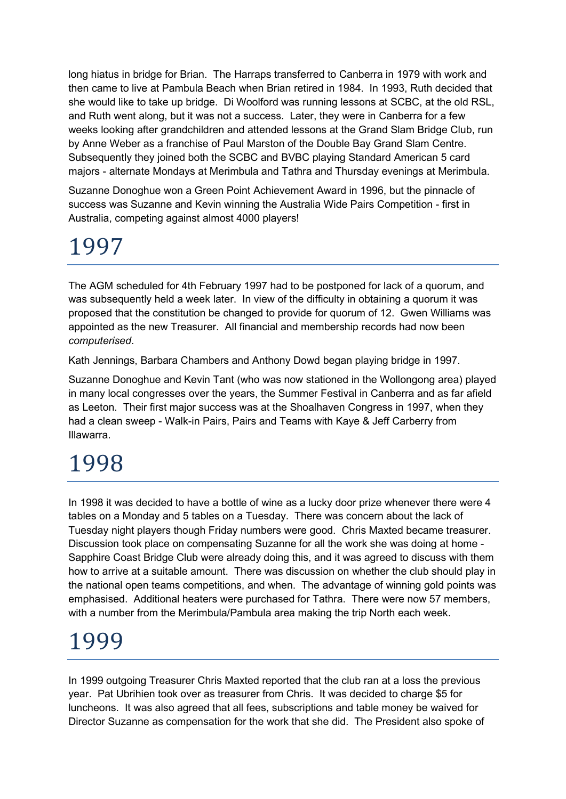long hiatus in bridge for Brian. The Harraps transferred to Canberra in 1979 with work and then came to live at Pambula Beach when Brian retired in 1984. In 1993, Ruth decided that she would like to take up bridge. Di Woolford was running lessons at SCBC, at the old RSL, and Ruth went along, but it was not a success. Later, they were in Canberra for a few weeks looking after grandchildren and attended lessons at the Grand Slam Bridge Club, run by Anne Weber as a franchise of Paul Marston of the Double Bay Grand Slam Centre. Subsequently they joined both the SCBC and BVBC playing Standard American 5 card majors - alternate Mondays at Merimbula and Tathra and Thursday evenings at Merimbula.

Suzanne Donoghue won a Green Point Achievement Award in 1996, but the pinnacle of success was Suzanne and Kevin winning the Australia Wide Pairs Competition - first in Australia, competing against almost 4000 players!

# 1997

The AGM scheduled for 4th February 1997 had to be postponed for lack of a quorum, and was subsequently held a week later. In view of the difficulty in obtaining a quorum it was proposed that the constitution be changed to provide for quorum of 12. Gwen Williams was appointed as the new Treasurer. All financial and membership records had now been computerised.

Kath Jennings, Barbara Chambers and Anthony Dowd began playing bridge in 1997.

Suzanne Donoghue and Kevin Tant (who was now stationed in the Wollongong area) played in many local congresses over the years, the Summer Festival in Canberra and as far afield as Leeton. Their first major success was at the Shoalhaven Congress in 1997, when they had a clean sweep - Walk-in Pairs, Pairs and Teams with Kaye & Jeff Carberry from Illawarra.

# 1998

In 1998 it was decided to have a bottle of wine as a lucky door prize whenever there were 4 tables on a Monday and 5 tables on a Tuesday. There was concern about the lack of Tuesday night players though Friday numbers were good. Chris Maxted became treasurer. Discussion took place on compensating Suzanne for all the work she was doing at home - Sapphire Coast Bridge Club were already doing this, and it was agreed to discuss with them how to arrive at a suitable amount. There was discussion on whether the club should play in the national open teams competitions, and when. The advantage of winning gold points was emphasised. Additional heaters were purchased for Tathra. There were now 57 members, with a number from the Merimbula/Pambula area making the trip North each week.

#### 1999

In 1999 outgoing Treasurer Chris Maxted reported that the club ran at a loss the previous year. Pat Ubrihien took over as treasurer from Chris. It was decided to charge \$5 for luncheons. It was also agreed that all fees, subscriptions and table money be waived for Director Suzanne as compensation for the work that she did. The President also spoke of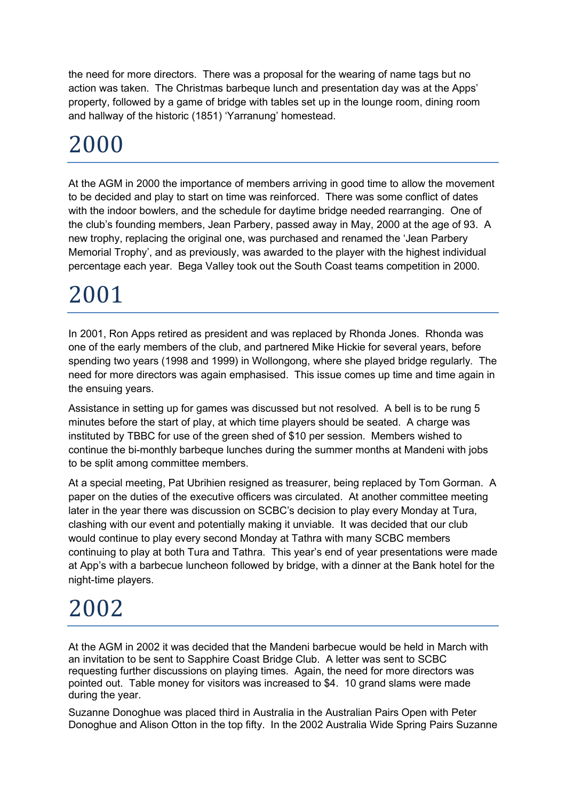the need for more directors. There was a proposal for the wearing of name tags but no action was taken. The Christmas barbeque lunch and presentation day was at the Apps' property, followed by a game of bridge with tables set up in the lounge room, dining room and hallway of the historic (1851) 'Yarranung' homestead.

### 2000

At the AGM in 2000 the importance of members arriving in good time to allow the movement to be decided and play to start on time was reinforced. There was some conflict of dates with the indoor bowlers, and the schedule for daytime bridge needed rearranging. One of the club's founding members, Jean Parbery, passed away in May, 2000 at the age of 93. A new trophy, replacing the original one, was purchased and renamed the 'Jean Parbery Memorial Trophy', and as previously, was awarded to the player with the highest individual percentage each year. Bega Valley took out the South Coast teams competition in 2000.

# 2001

In 2001, Ron Apps retired as president and was replaced by Rhonda Jones. Rhonda was one of the early members of the club, and partnered Mike Hickie for several years, before spending two years (1998 and 1999) in Wollongong, where she played bridge regularly. The need for more directors was again emphasised. This issue comes up time and time again in the ensuing years.

Assistance in setting up for games was discussed but not resolved. A bell is to be rung 5 minutes before the start of play, at which time players should be seated. A charge was instituted by TBBC for use of the green shed of \$10 per session. Members wished to continue the bi-monthly barbeque lunches during the summer months at Mandeni with jobs to be split among committee members.

At a special meeting, Pat Ubrihien resigned as treasurer, being replaced by Tom Gorman. A paper on the duties of the executive officers was circulated. At another committee meeting later in the year there was discussion on SCBC's decision to play every Monday at Tura, clashing with our event and potentially making it unviable. It was decided that our club would continue to play every second Monday at Tathra with many SCBC members continuing to play at both Tura and Tathra. This year's end of year presentations were made at App's with a barbecue luncheon followed by bridge, with a dinner at the Bank hotel for the night-time players.

#### 2002

At the AGM in 2002 it was decided that the Mandeni barbecue would be held in March with an invitation to be sent to Sapphire Coast Bridge Club. A letter was sent to SCBC requesting further discussions on playing times. Again, the need for more directors was pointed out. Table money for visitors was increased to \$4. 10 grand slams were made during the year.

Suzanne Donoghue was placed third in Australia in the Australian Pairs Open with Peter Donoghue and Alison Otton in the top fifty. In the 2002 Australia Wide Spring Pairs Suzanne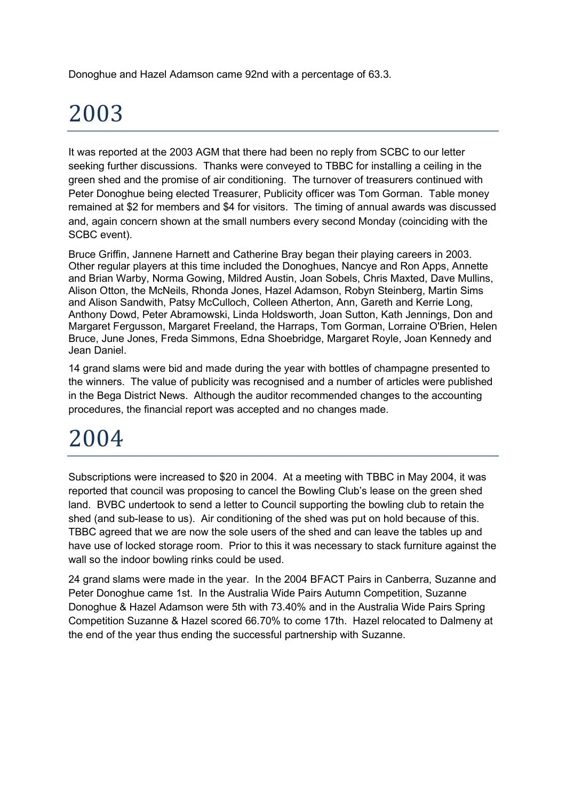Donoghue and Hazel Adamson came 92nd with a percentage of 63.3.

# 2003

It was reported at the 2003 AGM that there had been no reply from SCBC to our letter seeking further discussions. Thanks were conveyed to TBBC for installing a ceiling in the green shed and the promise of air conditioning. The turnover of treasurers continued with Peter Donoghue being elected Treasurer, Publicity officer was Tom Gorman. Table money remained at \$2 for members and \$4 for visitors. The timing of annual awards was discussed and, again concern shown at the small numbers every second Monday (coinciding with the SCBC event).

Bruce Griffin, Jannene Harnett and Catherine Bray began their playing careers in 2003. Other regular players at this time included the Donoghues, Nancye and Ron Apps, Annette and Brian Warby, Norma Gowing, Mildred Austin, Joan Sobels, Chris Maxted, Dave Mullins, Alison Otton, the McNeils, Rhonda Jones, Hazel Adamson, Robyn Steinberg, Martin Sims and Alison Sandwith, Patsy McCulloch, Colleen Atherton, Ann, Gareth and Kerrie Long, Anthony Dowd, Peter Abramowski, Linda Holdsworth, Joan Sutton, Kath Jennings, Don and Margaret Fergusson, Margaret Freeland, the Harraps, Tom Gorman, Lorraine O'Brien, Helen Bruce, June Jones, Freda Simmons, Edna Shoebridge, Margaret Royle, Joan Kennedy and Jean Daniel.

14 grand slams were bid and made during the year with bottles of champagne presented to the winners. The value of publicity was recognised and a number of articles were published in the Bega District News. Although the auditor recommended changes to the accounting procedures, the financial report was accepted and no changes made.

### 2004

Subscriptions were increased to \$20 in 2004. At a meeting with TBBC in May 2004, it was reported that council was proposing to cancel the Bowling Club's lease on the green shed land. BVBC undertook to send a letter to Council supporting the bowling club to retain the shed (and sub-lease to us). Air conditioning of the shed was put on hold because of this. TBBC agreed that we are now the sole users of the shed and can leave the tables up and have use of locked storage room. Prior to this it was necessary to stack furniture against the wall so the indoor bowling rinks could be used.

24 grand slams were made in the year. In the 2004 BFACT Pairs in Canberra, Suzanne and Peter Donoghue came 1st. In the Australia Wide Pairs Autumn Competition, Suzanne Donoghue & Hazel Adamson were 5th with 73.40% and in the Australia Wide Pairs Spring Competition Suzanne & Hazel scored 66.70% to come 17th. Hazel relocated to Dalmeny at the end of the year thus ending the successful partnership with Suzanne.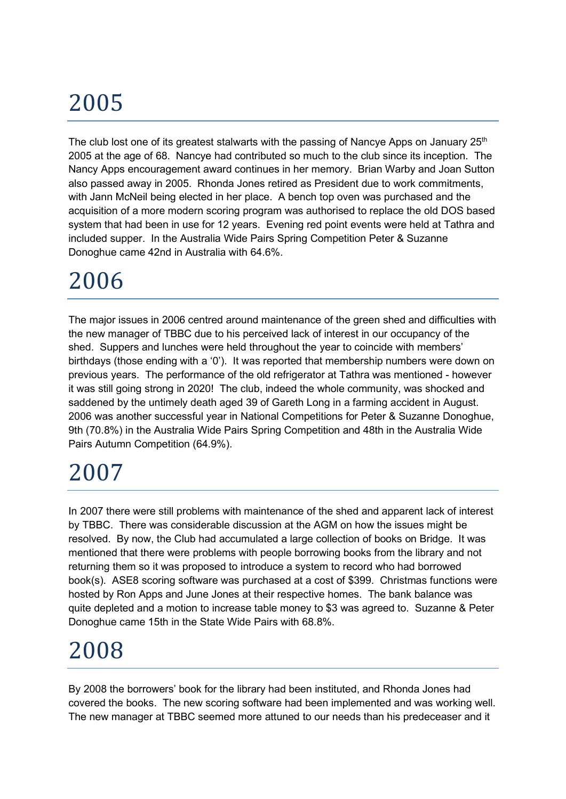The club lost one of its greatest stalwarts with the passing of Nancye Apps on January  $25<sup>th</sup>$ 2005 at the age of 68. Nancye had contributed so much to the club since its inception. The Nancy Apps encouragement award continues in her memory. Brian Warby and Joan Sutton also passed away in 2005. Rhonda Jones retired as President due to work commitments, with Jann McNeil being elected in her place. A bench top oven was purchased and the acquisition of a more modern scoring program was authorised to replace the old DOS based system that had been in use for 12 years. Evening red point events were held at Tathra and included supper. In the Australia Wide Pairs Spring Competition Peter & Suzanne Donoghue came 42nd in Australia with 64.6%.

### 2006

The major issues in 2006 centred around maintenance of the green shed and difficulties with the new manager of TBBC due to his perceived lack of interest in our occupancy of the shed. Suppers and lunches were held throughout the year to coincide with members' birthdays (those ending with a '0'). It was reported that membership numbers were down on previous years. The performance of the old refrigerator at Tathra was mentioned - however it was still going strong in 2020! The club, indeed the whole community, was shocked and saddened by the untimely death aged 39 of Gareth Long in a farming accident in August. 2006 was another successful year in National Competitions for Peter & Suzanne Donoghue, 9th (70.8%) in the Australia Wide Pairs Spring Competition and 48th in the Australia Wide Pairs Autumn Competition (64.9%).

#### 2007

In 2007 there were still problems with maintenance of the shed and apparent lack of interest by TBBC. There was considerable discussion at the AGM on how the issues might be resolved. By now, the Club had accumulated a large collection of books on Bridge. It was mentioned that there were problems with people borrowing books from the library and not returning them so it was proposed to introduce a system to record who had borrowed book(s). ASE8 scoring software was purchased at a cost of \$399. Christmas functions were hosted by Ron Apps and June Jones at their respective homes. The bank balance was quite depleted and a motion to increase table money to \$3 was agreed to. Suzanne & Peter Donoghue came 15th in the State Wide Pairs with 68.8%.

### 2008

By 2008 the borrowers' book for the library had been instituted, and Rhonda Jones had covered the books. The new scoring software had been implemented and was working well. The new manager at TBBC seemed more attuned to our needs than his predeceaser and it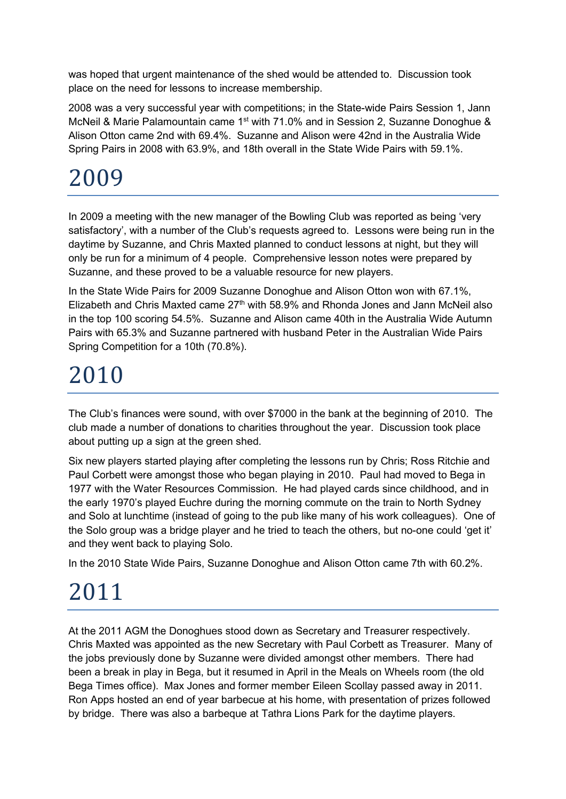was hoped that urgent maintenance of the shed would be attended to. Discussion took place on the need for lessons to increase membership.

2008 was a very successful year with competitions; in the State-wide Pairs Session 1, Jann McNeil & Marie Palamountain came 1<sup>st</sup> with 71.0% and in Session 2, Suzanne Donoghue & Alison Otton came 2nd with 69.4%. Suzanne and Alison were 42nd in the Australia Wide Spring Pairs in 2008 with 63.9%, and 18th overall in the State Wide Pairs with 59.1%.

# 2009

In 2009 a meeting with the new manager of the Bowling Club was reported as being 'very satisfactory', with a number of the Club's requests agreed to. Lessons were being run in the daytime by Suzanne, and Chris Maxted planned to conduct lessons at night, but they will only be run for a minimum of 4 people. Comprehensive lesson notes were prepared by Suzanne, and these proved to be a valuable resource for new players.

In the State Wide Pairs for 2009 Suzanne Donoghue and Alison Otton won with 67.1%, Elizabeth and Chris Maxted came  $27<sup>th</sup>$  with 58.9% and Rhonda Jones and Jann McNeil also in the top 100 scoring 54.5%. Suzanne and Alison came 40th in the Australia Wide Autumn Pairs with 65.3% and Suzanne partnered with husband Peter in the Australian Wide Pairs Spring Competition for a 10th (70.8%).

### 2010

The Club's finances were sound, with over \$7000 in the bank at the beginning of 2010. The club made a number of donations to charities throughout the year. Discussion took place about putting up a sign at the green shed.

Six new players started playing after completing the lessons run by Chris; Ross Ritchie and Paul Corbett were amongst those who began playing in 2010. Paul had moved to Bega in 1977 with the Water Resources Commission. He had played cards since childhood, and in the early 1970's played Euchre during the morning commute on the train to North Sydney and Solo at lunchtime (instead of going to the pub like many of his work colleagues). One of the Solo group was a bridge player and he tried to teach the others, but no-one could 'get it' and they went back to playing Solo.

In the 2010 State Wide Pairs, Suzanne Donoghue and Alison Otton came 7th with 60.2%.

# 2011

At the 2011 AGM the Donoghues stood down as Secretary and Treasurer respectively. Chris Maxted was appointed as the new Secretary with Paul Corbett as Treasurer. Many of the jobs previously done by Suzanne were divided amongst other members. There had been a break in play in Bega, but it resumed in April in the Meals on Wheels room (the old Bega Times office). Max Jones and former member Eileen Scollay passed away in 2011. Ron Apps hosted an end of year barbecue at his home, with presentation of prizes followed by bridge. There was also a barbeque at Tathra Lions Park for the daytime players.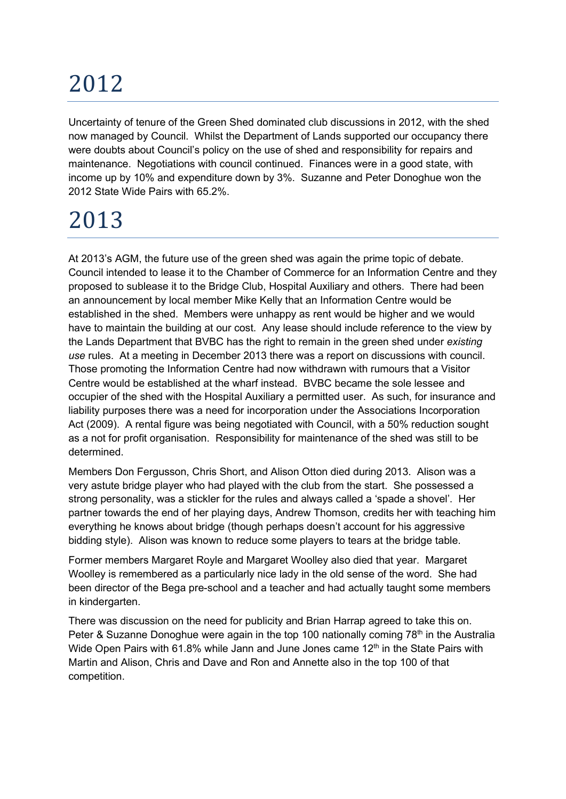Uncertainty of tenure of the Green Shed dominated club discussions in 2012, with the shed now managed by Council. Whilst the Department of Lands supported our occupancy there were doubts about Council's policy on the use of shed and responsibility for repairs and maintenance. Negotiations with council continued. Finances were in a good state, with income up by 10% and expenditure down by 3%. Suzanne and Peter Donoghue won the 2012 State Wide Pairs with 65.2%.

# 2013

At 2013's AGM, the future use of the green shed was again the prime topic of debate. Council intended to lease it to the Chamber of Commerce for an Information Centre and they proposed to sublease it to the Bridge Club, Hospital Auxiliary and others. There had been an announcement by local member Mike Kelly that an Information Centre would be established in the shed. Members were unhappy as rent would be higher and we would have to maintain the building at our cost. Any lease should include reference to the view by the Lands Department that BVBC has the right to remain in the green shed under existing use rules. At a meeting in December 2013 there was a report on discussions with council. Those promoting the Information Centre had now withdrawn with rumours that a Visitor Centre would be established at the wharf instead. BVBC became the sole lessee and occupier of the shed with the Hospital Auxiliary a permitted user. As such, for insurance and liability purposes there was a need for incorporation under the Associations Incorporation Act (2009). A rental figure was being negotiated with Council, with a 50% reduction sought as a not for profit organisation. Responsibility for maintenance of the shed was still to be determined.

Members Don Fergusson, Chris Short, and Alison Otton died during 2013. Alison was a very astute bridge player who had played with the club from the start. She possessed a strong personality, was a stickler for the rules and always called a 'spade a shovel'. Her partner towards the end of her playing days, Andrew Thomson, credits her with teaching him everything he knows about bridge (though perhaps doesn't account for his aggressive bidding style). Alison was known to reduce some players to tears at the bridge table.

Former members Margaret Royle and Margaret Woolley also died that year. Margaret Woolley is remembered as a particularly nice lady in the old sense of the word. She had been director of the Bega pre-school and a teacher and had actually taught some members in kindergarten.

There was discussion on the need for publicity and Brian Harrap agreed to take this on. Peter & Suzanne Donoghue were again in the top 100 nationally coming  $78<sup>th</sup>$  in the Australia Wide Open Pairs with 61.8% while Jann and June Jones came  $12<sup>th</sup>$  in the State Pairs with Martin and Alison, Chris and Dave and Ron and Annette also in the top 100 of that competition.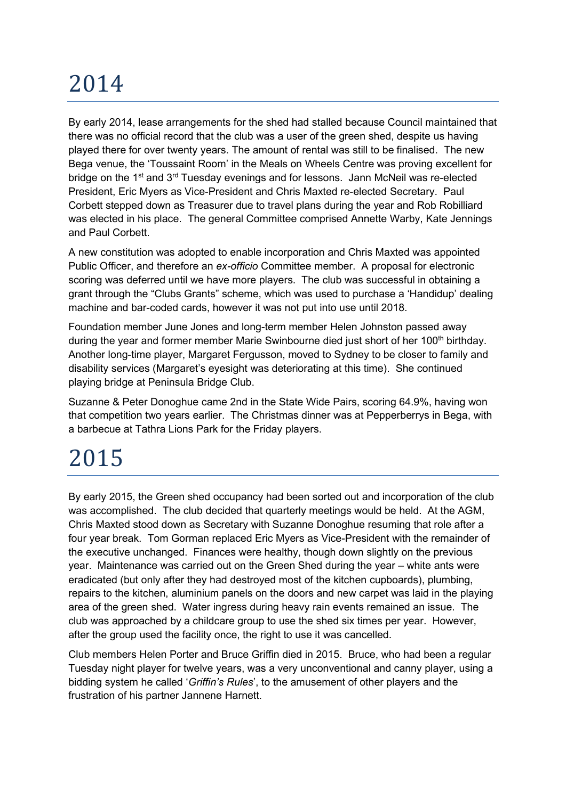By early 2014, lease arrangements for the shed had stalled because Council maintained that there was no official record that the club was a user of the green shed, despite us having played there for over twenty years. The amount of rental was still to be finalised. The new Bega venue, the 'Toussaint Room' in the Meals on Wheels Centre was proving excellent for bridge on the 1<sup>st</sup> and 3<sup>rd</sup> Tuesday evenings and for lessons. Jann McNeil was re-elected President, Eric Myers as Vice-President and Chris Maxted re-elected Secretary. Paul Corbett stepped down as Treasurer due to travel plans during the year and Rob Robilliard was elected in his place. The general Committee comprised Annette Warby, Kate Jennings and Paul Corbett.

A new constitution was adopted to enable incorporation and Chris Maxted was appointed Public Officer, and therefore an ex-officio Committee member. A proposal for electronic scoring was deferred until we have more players. The club was successful in obtaining a grant through the "Clubs Grants" scheme, which was used to purchase a 'Handidup' dealing machine and bar-coded cards, however it was not put into use until 2018.

Foundation member June Jones and long-term member Helen Johnston passed away during the year and former member Marie Swinbourne died just short of her 100<sup>th</sup> birthday. Another long-time player, Margaret Fergusson, moved to Sydney to be closer to family and disability services (Margaret's eyesight was deteriorating at this time). She continued playing bridge at Peninsula Bridge Club.

Suzanne & Peter Donoghue came 2nd in the State Wide Pairs, scoring 64.9%, having won that competition two years earlier. The Christmas dinner was at Pepperberrys in Bega, with a barbecue at Tathra Lions Park for the Friday players.

### 2015

By early 2015, the Green shed occupancy had been sorted out and incorporation of the club was accomplished. The club decided that quarterly meetings would be held. At the AGM, Chris Maxted stood down as Secretary with Suzanne Donoghue resuming that role after a four year break. Tom Gorman replaced Eric Myers as Vice-President with the remainder of the executive unchanged. Finances were healthy, though down slightly on the previous year. Maintenance was carried out on the Green Shed during the year – white ants were eradicated (but only after they had destroyed most of the kitchen cupboards), plumbing, repairs to the kitchen, aluminium panels on the doors and new carpet was laid in the playing area of the green shed. Water ingress during heavy rain events remained an issue. The club was approached by a childcare group to use the shed six times per year. However, after the group used the facility once, the right to use it was cancelled.

Club members Helen Porter and Bruce Griffin died in 2015. Bruce, who had been a regular Tuesday night player for twelve years, was a very unconventional and canny player, using a bidding system he called 'Griffin's Rules', to the amusement of other players and the frustration of his partner Jannene Harnett.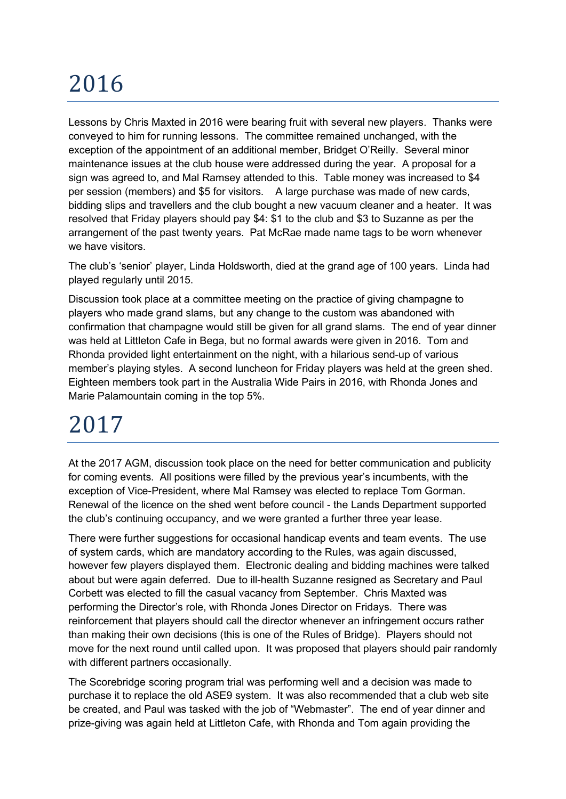Lessons by Chris Maxted in 2016 were bearing fruit with several new players. Thanks were conveyed to him for running lessons. The committee remained unchanged, with the exception of the appointment of an additional member, Bridget O'Reilly. Several minor maintenance issues at the club house were addressed during the year. A proposal for a sign was agreed to, and Mal Ramsey attended to this. Table money was increased to \$4 per session (members) and \$5 for visitors. A large purchase was made of new cards, bidding slips and travellers and the club bought a new vacuum cleaner and a heater. It was resolved that Friday players should pay \$4: \$1 to the club and \$3 to Suzanne as per the arrangement of the past twenty years. Pat McRae made name tags to be worn whenever we have visitors.

The club's 'senior' player, Linda Holdsworth, died at the grand age of 100 years. Linda had played regularly until 2015.

Discussion took place at a committee meeting on the practice of giving champagne to players who made grand slams, but any change to the custom was abandoned with confirmation that champagne would still be given for all grand slams. The end of year dinner was held at Littleton Cafe in Bega, but no formal awards were given in 2016. Tom and Rhonda provided light entertainment on the night, with a hilarious send-up of various member's playing styles. A second luncheon for Friday players was held at the green shed. Eighteen members took part in the Australia Wide Pairs in 2016, with Rhonda Jones and Marie Palamountain coming in the top 5%.

#### 2017

At the 2017 AGM, discussion took place on the need for better communication and publicity for coming events. All positions were filled by the previous year's incumbents, with the exception of Vice-President, where Mal Ramsey was elected to replace Tom Gorman. Renewal of the licence on the shed went before council - the Lands Department supported the club's continuing occupancy, and we were granted a further three year lease.

There were further suggestions for occasional handicap events and team events. The use of system cards, which are mandatory according to the Rules, was again discussed, however few players displayed them. Electronic dealing and bidding machines were talked about but were again deferred. Due to ill-health Suzanne resigned as Secretary and Paul Corbett was elected to fill the casual vacancy from September. Chris Maxted was performing the Director's role, with Rhonda Jones Director on Fridays. There was reinforcement that players should call the director whenever an infringement occurs rather than making their own decisions (this is one of the Rules of Bridge). Players should not move for the next round until called upon. It was proposed that players should pair randomly with different partners occasionally.

The Scorebridge scoring program trial was performing well and a decision was made to purchase it to replace the old ASE9 system. It was also recommended that a club web site be created, and Paul was tasked with the job of "Webmaster". The end of year dinner and prize-giving was again held at Littleton Cafe, with Rhonda and Tom again providing the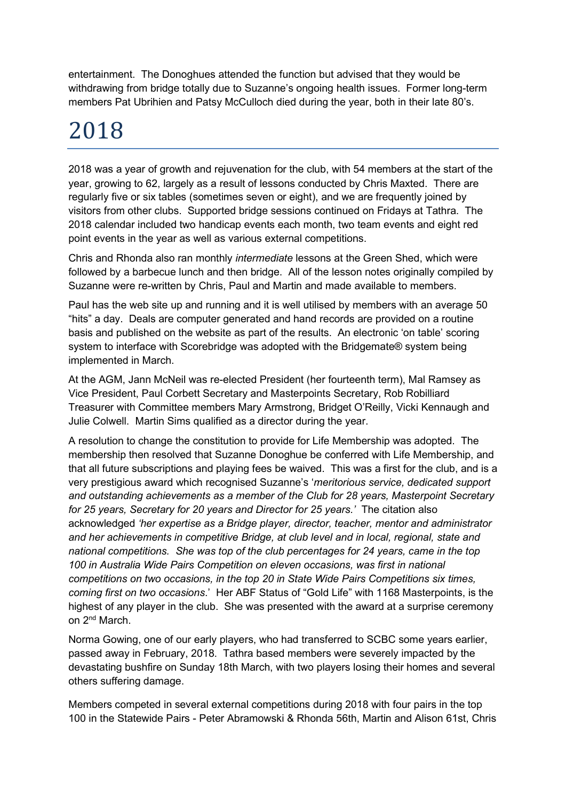entertainment. The Donoghues attended the function but advised that they would be withdrawing from bridge totally due to Suzanne's ongoing health issues. Former long-term members Pat Ubrihien and Patsy McCulloch died during the year, both in their late 80's.

### 2018

2018 was a year of growth and rejuvenation for the club, with 54 members at the start of the year, growing to 62, largely as a result of lessons conducted by Chris Maxted. There are regularly five or six tables (sometimes seven or eight), and we are frequently joined by visitors from other clubs. Supported bridge sessions continued on Fridays at Tathra. The 2018 calendar included two handicap events each month, two team events and eight red point events in the year as well as various external competitions.

Chris and Rhonda also ran monthly intermediate lessons at the Green Shed, which were followed by a barbecue lunch and then bridge. All of the lesson notes originally compiled by Suzanne were re-written by Chris, Paul and Martin and made available to members.

Paul has the web site up and running and it is well utilised by members with an average 50 "hits" a day. Deals are computer generated and hand records are provided on a routine basis and published on the website as part of the results. An electronic 'on table' scoring system to interface with Scorebridge was adopted with the Bridgemate® system being implemented in March.

At the AGM, Jann McNeil was re-elected President (her fourteenth term), Mal Ramsey as Vice President, Paul Corbett Secretary and Masterpoints Secretary, Rob Robilliard Treasurer with Committee members Mary Armstrong, Bridget O'Reilly, Vicki Kennaugh and Julie Colwell. Martin Sims qualified as a director during the year.

A resolution to change the constitution to provide for Life Membership was adopted. The membership then resolved that Suzanne Donoghue be conferred with Life Membership, and that all future subscriptions and playing fees be waived. This was a first for the club, and is a very prestigious award which recognised Suzanne's 'meritorious service, dedicated support and outstanding achievements as a member of the Club for 28 years, Masterpoint Secretary for 25 years, Secretary for 20 years and Director for 25 years.' The citation also acknowledged 'her expertise as a Bridge player, director, teacher, mentor and administrator and her achievements in competitive Bridge, at club level and in local, regional, state and national competitions. She was top of the club percentages for 24 years, came in the top 100 in Australia Wide Pairs Competition on eleven occasions, was first in national competitions on two occasions, in the top 20 in State Wide Pairs Competitions six times, coming first on two occasions.' Her ABF Status of "Gold Life" with 1168 Masterpoints, is the highest of any player in the club. She was presented with the award at a surprise ceremony on 2nd March.

Norma Gowing, one of our early players, who had transferred to SCBC some years earlier, passed away in February, 2018. Tathra based members were severely impacted by the devastating bushfire on Sunday 18th March, with two players losing their homes and several others suffering damage.

Members competed in several external competitions during 2018 with four pairs in the top 100 in the Statewide Pairs - Peter Abramowski & Rhonda 56th, Martin and Alison 61st, Chris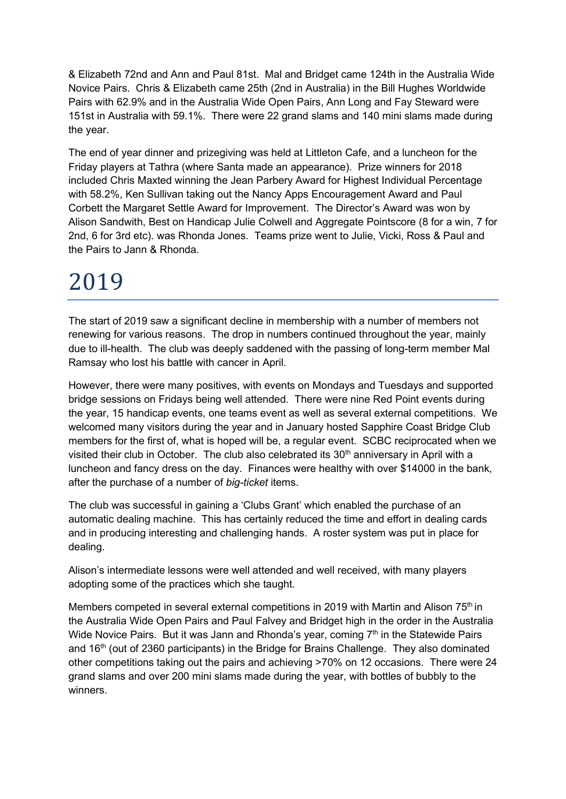& Elizabeth 72nd and Ann and Paul 81st. Mal and Bridget came 124th in the Australia Wide Novice Pairs. Chris & Elizabeth came 25th (2nd in Australia) in the Bill Hughes Worldwide Pairs with 62.9% and in the Australia Wide Open Pairs, Ann Long and Fay Steward were 151st in Australia with 59.1%. There were 22 grand slams and 140 mini slams made during the year.

The end of year dinner and prizegiving was held at Littleton Cafe, and a luncheon for the Friday players at Tathra (where Santa made an appearance). Prize winners for 2018 included Chris Maxted winning the Jean Parbery Award for Highest Individual Percentage with 58.2%, Ken Sullivan taking out the Nancy Apps Encouragement Award and Paul Corbett the Margaret Settle Award for Improvement. The Director's Award was won by Alison Sandwith, Best on Handicap Julie Colwell and Aggregate Pointscore (8 for a win, 7 for 2nd, 6 for 3rd etc). was Rhonda Jones. Teams prize went to Julie, Vicki, Ross & Paul and the Pairs to Jann & Rhonda.

### 2019

The start of 2019 saw a significant decline in membership with a number of members not renewing for various reasons. The drop in numbers continued throughout the year, mainly due to ill-health. The club was deeply saddened with the passing of long-term member Mal Ramsay who lost his battle with cancer in April.

However, there were many positives, with events on Mondays and Tuesdays and supported bridge sessions on Fridays being well attended. There were nine Red Point events during the year, 15 handicap events, one teams event as well as several external competitions. We welcomed many visitors during the year and in January hosted Sapphire Coast Bridge Club members for the first of, what is hoped will be, a regular event. SCBC reciprocated when we visited their club in October. The club also celebrated its 30<sup>th</sup> anniversary in April with a luncheon and fancy dress on the day. Finances were healthy with over \$14000 in the bank, after the purchase of a number of big-ticket items.

The club was successful in gaining a 'Clubs Grant' which enabled the purchase of an automatic dealing machine. This has certainly reduced the time and effort in dealing cards and in producing interesting and challenging hands. A roster system was put in place for dealing.

Alison's intermediate lessons were well attended and well received, with many players adopting some of the practices which she taught.

Members competed in several external competitions in 2019 with Martin and Alison 75<sup>th</sup> in the Australia Wide Open Pairs and Paul Falvey and Bridget high in the order in the Australia Wide Novice Pairs. But it was Jann and Rhonda's year, coming  $7<sup>th</sup>$  in the Statewide Pairs and 16<sup>th</sup> (out of 2360 participants) in the Bridge for Brains Challenge. They also dominated other competitions taking out the pairs and achieving >70% on 12 occasions. There were 24 grand slams and over 200 mini slams made during the year, with bottles of bubbly to the winners.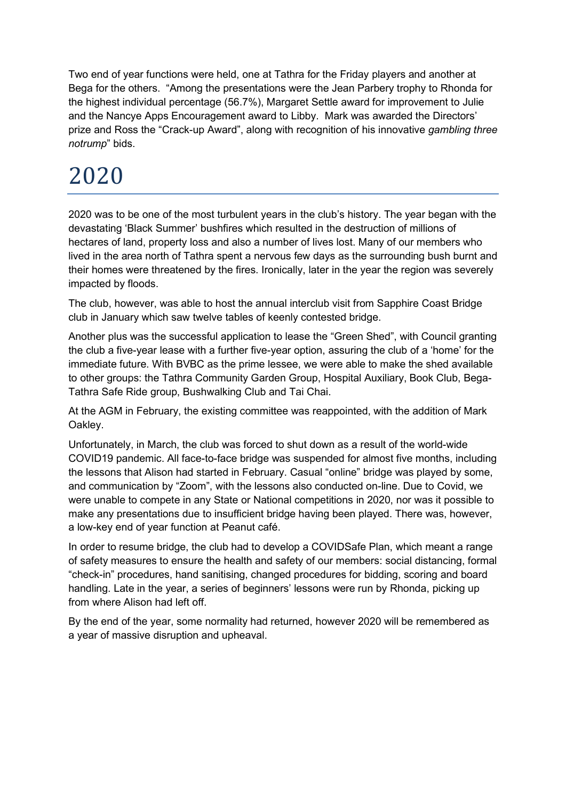Two end of year functions were held, one at Tathra for the Friday players and another at Bega for the others. "Among the presentations were the Jean Parbery trophy to Rhonda for the highest individual percentage (56.7%), Margaret Settle award for improvement to Julie and the Nancye Apps Encouragement award to Libby. Mark was awarded the Directors' prize and Ross the "Crack-up Award", along with recognition of his innovative gambling three notrump" bids.

### 2020

2020 was to be one of the most turbulent years in the club's history. The year began with the devastating 'Black Summer' bushfires which resulted in the destruction of millions of hectares of land, property loss and also a number of lives lost. Many of our members who lived in the area north of Tathra spent a nervous few days as the surrounding bush burnt and their homes were threatened by the fires. Ironically, later in the year the region was severely impacted by floods.

The club, however, was able to host the annual interclub visit from Sapphire Coast Bridge club in January which saw twelve tables of keenly contested bridge.

Another plus was the successful application to lease the "Green Shed", with Council granting the club a five-year lease with a further five-year option, assuring the club of a 'home' for the immediate future. With BVBC as the prime lessee, we were able to make the shed available to other groups: the Tathra Community Garden Group, Hospital Auxiliary, Book Club, Bega-Tathra Safe Ride group, Bushwalking Club and Tai Chai.

At the AGM in February, the existing committee was reappointed, with the addition of Mark Oakley.

Unfortunately, in March, the club was forced to shut down as a result of the world-wide COVID19 pandemic. All face-to-face bridge was suspended for almost five months, including the lessons that Alison had started in February. Casual "online" bridge was played by some, and communication by "Zoom", with the lessons also conducted on-line. Due to Covid, we were unable to compete in any State or National competitions in 2020, nor was it possible to make any presentations due to insufficient bridge having been played. There was, however, a low-key end of year function at Peanut café.

In order to resume bridge, the club had to develop a COVIDSafe Plan, which meant a range of safety measures to ensure the health and safety of our members: social distancing, formal "check-in" procedures, hand sanitising, changed procedures for bidding, scoring and board handling. Late in the year, a series of beginners' lessons were run by Rhonda, picking up from where Alison had left off.

By the end of the year, some normality had returned, however 2020 will be remembered as a year of massive disruption and upheaval.